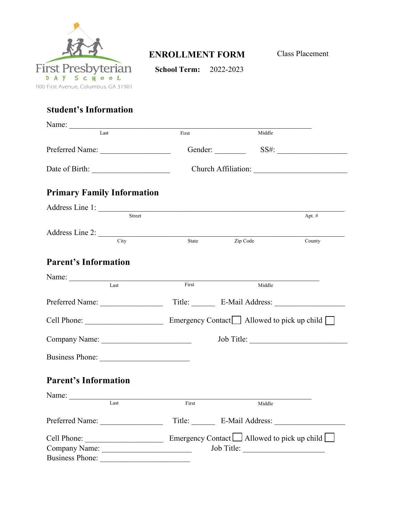

## **ENROLLMENT FORM**

Class Placement

**School Term:** 2022-2023

## **Student's Information**

| Name:                                                                                                                                                                                                                                                                                                                                                                                                                                             |        |                                                          |            |  |
|---------------------------------------------------------------------------------------------------------------------------------------------------------------------------------------------------------------------------------------------------------------------------------------------------------------------------------------------------------------------------------------------------------------------------------------------------|--------|----------------------------------------------------------|------------|--|
| Last                                                                                                                                                                                                                                                                                                                                                                                                                                              | First  | Middle                                                   |            |  |
| Preferred Name:                                                                                                                                                                                                                                                                                                                                                                                                                                   |        |                                                          |            |  |
|                                                                                                                                                                                                                                                                                                                                                                                                                                                   |        |                                                          |            |  |
| <b>Primary Family Information</b>                                                                                                                                                                                                                                                                                                                                                                                                                 |        |                                                          |            |  |
| Address Line 1:                                                                                                                                                                                                                                                                                                                                                                                                                                   | Street |                                                          | Apt. #     |  |
| Address Line 2:<br>City                                                                                                                                                                                                                                                                                                                                                                                                                           |        |                                                          |            |  |
|                                                                                                                                                                                                                                                                                                                                                                                                                                                   | State  | $\overline{Zip \text{ Code}}$                            | County     |  |
| <b>Parent's Information</b>                                                                                                                                                                                                                                                                                                                                                                                                                       |        |                                                          |            |  |
| Last                                                                                                                                                                                                                                                                                                                                                                                                                                              | First  | Middle                                                   |            |  |
| Preferred Name:                                                                                                                                                                                                                                                                                                                                                                                                                                   |        |                                                          |            |  |
|                                                                                                                                                                                                                                                                                                                                                                                                                                                   |        |                                                          |            |  |
|                                                                                                                                                                                                                                                                                                                                                                                                                                                   |        |                                                          | Job Title: |  |
| Business Phone:                                                                                                                                                                                                                                                                                                                                                                                                                                   |        |                                                          |            |  |
| <b>Parent's Information</b>                                                                                                                                                                                                                                                                                                                                                                                                                       |        |                                                          |            |  |
| Name: $\frac{1}{\sqrt{1-\frac{1}{2}} \cdot \frac{1}{2} \cdot \frac{1}{2} \cdot \frac{1}{2} \cdot \frac{1}{2} \cdot \frac{1}{2} \cdot \frac{1}{2} \cdot \frac{1}{2} \cdot \frac{1}{2} \cdot \frac{1}{2} \cdot \frac{1}{2} \cdot \frac{1}{2} \cdot \frac{1}{2} \cdot \frac{1}{2} \cdot \frac{1}{2} \cdot \frac{1}{2} \cdot \frac{1}{2} \cdot \frac{1}{2} \cdot \frac{1}{2} \cdot \frac{1}{2} \cdot \frac{1}{2} \cdot \frac{1}{2} \cdot \frac{1}{2}$ |        |                                                          |            |  |
| Last                                                                                                                                                                                                                                                                                                                                                                                                                                              | First  | Middle                                                   |            |  |
| Preferred Name:                                                                                                                                                                                                                                                                                                                                                                                                                                   |        | Title: E-Mail Address:                                   |            |  |
| Cell Phone:                                                                                                                                                                                                                                                                                                                                                                                                                                       |        | Emergency Contact $\Box$ Allowed to pick up child $\Box$ |            |  |
| Company Name:                                                                                                                                                                                                                                                                                                                                                                                                                                     |        |                                                          |            |  |
| <b>Business Phone:</b>                                                                                                                                                                                                                                                                                                                                                                                                                            |        |                                                          |            |  |